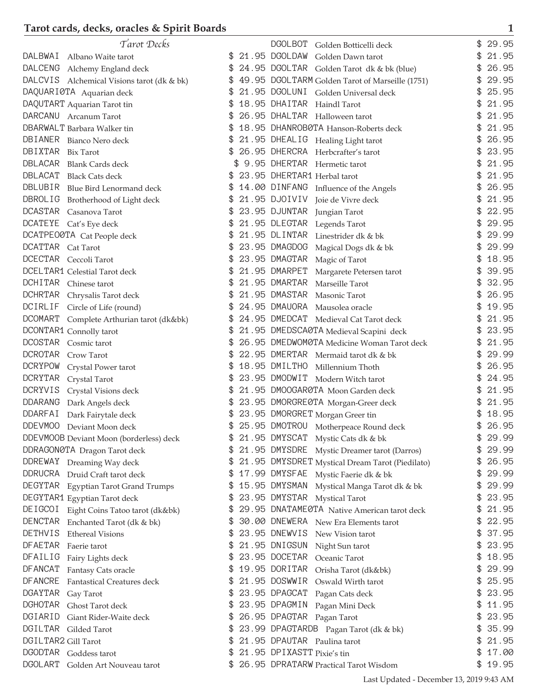| Tarot Decks                                          | DGOLBOT Golden Botticelli deck                                   | 29.95       |
|------------------------------------------------------|------------------------------------------------------------------|-------------|
| DALBWAI<br>Albano Waite tarot                        | 21.95 DGOLDAW Golden Dawn tarot<br>\$                            | 21.95<br>\$ |
| <b>DALCENG</b><br>Alchemy England deck               | \$<br>24.95 DGOLTAR Golden Tarot dk & bk (blue)                  | 26.95<br>\$ |
| <b>DALCVIS</b><br>Alchemical Visions tarot (dk & bk) | \$<br>49.95 DGOLTARM Golden Tarot of Marseille (1751)            | \$<br>29.95 |
| DAQUARIØTA Aquarian deck                             | \$<br>21.95 DGOLUNI Golden Universal deck                        | 25.95<br>\$ |
| DAQUTART Aquarian Tarot tin                          | 18.95 DHAITAR Haindl Tarot                                       | 21.95<br>\$ |
| DARCANU Arcanum Tarot                                | 26.95 DHALTAR Halloween tarot                                    | 21.95       |
| DBARWALT Barbara Walker tin                          | 18.95 DHANROB0TA Hanson-Roberts deck                             | 21.95       |
| DBIANER<br>Bianco Nero deck                          | \$<br>21.95 DHEALIG Healing Light tarot                          | 26.95<br>\$ |
| DBIXTAR<br>Bix Tarot                                 | 26.95 DHERCRA Herbcrafter's tarot                                | 23.95<br>\$ |
| <b>DBLACAR</b><br><b>Blank Cards deck</b>            | 9.95 DHERTAR Hermetic tarot                                      | 21.95<br>\$ |
| DBLACAT<br><b>Black Cats deck</b>                    | 23.95 DHERTAR1 Herbal tarot                                      | 21.95       |
| DBLUBIR<br>Blue Bird Lenormand deck                  | 14.00 DINFANG Influence of the Angels<br>S                       | 26.95<br>\$ |
| <b>DBROLIG</b><br>Brotherhood of Light deck          | 21.95 DJOIVIV<br>\$<br>Joie de Vivre deck                        | 21.95       |
| <b>DCASTAR</b><br>Casanova Tarot                     | 23.95 DJUNTAR<br>\$<br>Jungian Tarot                             | 22.95<br>\$ |
| DCATEYE Cat's Eye deck                               | \$<br>21.95 DLEGTAR<br>Legends Tarot                             | \$<br>29.95 |
| DCATPEOØTA Cat People deck                           | \$<br>21.95 DLINTAR Linestrider dk & bk                          | 29.99<br>\$ |
| <b>DCATTAR</b><br>Cat Tarot                          | \$<br>23.95 DMAGDOG                                              | 29.99<br>\$ |
| <b>DCECTAR</b>                                       | Magical Dogs dk & bk<br>\$<br>23.95 DMAGTAR                      | 18.95<br>\$ |
| Ceccoli Tarot                                        | Magic of Tarot                                                   |             |
| DCELTAR1 Celestial Tarot deck                        | 21.95 DMARPET<br>\$<br>Margarete Petersen tarot<br>21.95 DMARTAR | 39.95<br>\$ |
| DCHITAR Chinese tarot                                | Marseille Tarot                                                  | 32.95<br>\$ |
| <b>DCHRTAR</b><br>Chrysalis Tarot deck               | 21.95 DMASTAR<br>Masonic Tarot                                   | 26.95       |
| <b>DCIRLIF</b><br>Circle of Life (round)             | 24.95 DMAUORA<br>Mausolea oracle                                 | 19.95       |
| <b>DCOMART</b><br>Complete Arthurian tarot (dk&bk)   | 24.95 DMEDCAT Medieval Cat Tarot deck<br>\$                      | 21.95<br>\$ |
| DCONTAR1 Connolly tarot                              | \$<br>21.95 DMEDSCA0TA Medieval Scapini deck                     | 23.95<br>\$ |
| <b>DCOSTAR</b><br>Cosmic tarot                       | \$<br>26.95 DMEDWOM0TA Medicine Woman Tarot deck                 | 21.95<br>\$ |
| <b>DCROTAR</b><br>Crow Tarot                         | 22.95 DMERTAR Mermaid tarot dk & bk                              | 29.99       |
| DCRYPOW<br>Crystal Power tarot                       | 18.95 DMILTHO Millennium Thoth<br>\$                             | 26.95<br>\$ |
| <b>DCRYTAR</b><br>Crystal Tarot                      | 23.95 DMODWIT Modern Witch tarot                                 | 24.95       |
| <b>DCRYVIS</b><br>Crystal Visions deck               | 21.95 DMOOGAR0TA Moon Garden deck<br>\$                          | 21.95<br>\$ |
| <b>DDARANG</b><br>Dark Angels deck                   | 23.95 DMORGRE0TA Morgan-Greer deck<br>\$                         | 21.95<br>\$ |
| DDARFAI<br>Dark Fairytale deck                       | 23.95 DMORGRET Morgan Greer tin<br>\$                            | 18.95<br>\$ |
| <b>DDEVMOO</b><br>Deviant Moon deck                  | \$<br>25.95 DMOTROU Motherpeace Round deck                       | \$<br>26.95 |
| DDEVMOOB Deviant Moon (borderless) deck              | 21.95 DMYSCAT Mystic Cats dk & bk                                | 29.99       |
| DDRAGON0TA Dragon Tarot deck                         | 21.95 DMYSDRE Mystic Dreamer tarot (Darros)<br>\$                | 29.99<br>\$ |
| DDREWAY Dreaming Way deck                            | \$<br>21.95 DMYSDRET Mystical Dream Tarot (Piedilato)            | 26.95<br>\$ |
| DDRUCRA Druid Craft tarot deck                       | \$<br>17.99 DMYSFAE Mystic Faerie dk & bk                        | 29.99<br>\$ |
| DEGYTAR<br>Egyptian Tarot Grand Trumps               | \$<br>15.95 DMYSMAN<br>Mystical Manga Tarot dk & bk              | 29.99<br>\$ |
| DEGYTAR1 Egyptian Tarot deck                         | 23.95 DMYSTAR Mystical Tarot<br>\$                               | 23.95<br>\$ |
| DEIGCOI<br>Eight Coins Tatoo tarot (dk&bk)           | \$<br>29.95 DNATAME0TA Native American tarot deck                | 21.95<br>\$ |
| <b>DENCTAR</b><br>Enchanted Tarot (dk & bk)          | 30.00 DNEWERA New Era Elements tarot<br>S                        | 22.95<br>\$ |
| DETHVIS<br><b>Ethereal Visions</b>                   | 23.95 DNEWVIS<br>\$<br>New Vision tarot                          | 37.95<br>\$ |
| <b>DFAETAR</b><br>Faerie tarot                       | \$<br>21.95 DNIGSUN<br>Night Sun tarot                           | 23.95<br>\$ |
| DFAILIG<br>Fairy Lights deck                         | 23.95 DOCETAR<br>\$<br>Oceanic Tarot                             | 18.95<br>\$ |
| <b>DFANCAT</b><br>Fantasy Cats oracle                | 19.95 DORITAR<br>\$<br>Orisha Tarot (dk&bk)                      | 29.99<br>\$ |
| <b>DFANCRE</b><br>Fantastical Creatures deck         | 21.95 DOSWWIR<br>\$<br>Oswald Wirth tarot                        | 25.95<br>\$ |
| DGAYTAR<br>Gay Tarot                                 | 23.95 DPAGCAT<br>\$<br>Pagan Cats deck                           | 23.95<br>\$ |
| <b>DGHOTAR</b><br>Ghost Tarot deck                   | 23.95 DPAGMIN<br>\$<br>Pagan Mini Deck                           | 11.95<br>\$ |
| DGIARID<br>Giant Rider-Waite deck                    | 26.95 DPAGTAR Pagan Tarot<br>\$                                  | 23.95<br>\$ |
| DGILTAR<br>Gilded Tarot                              | \$<br>23.99 DPAGTARDB Pagan Tarot (dk & bk)                      | 35.99<br>\$ |
| DGILTAR2 Gill Tarot                                  | \$<br>21.95 DPAUTAR Paulina tarot                                | 21.95<br>\$ |
| <b>DGODTAR</b><br>Goddess tarot                      | 21.95 DPIXASTT Pixie's tin<br>\$                                 | 17.00<br>\$ |
| <b>DGOLART</b><br>Golden Art Nouveau tarot           | \$<br>26.95 DPRATARW Practical Tarot Wisdom                      | \$<br>19.95 |
|                                                      |                                                                  |             |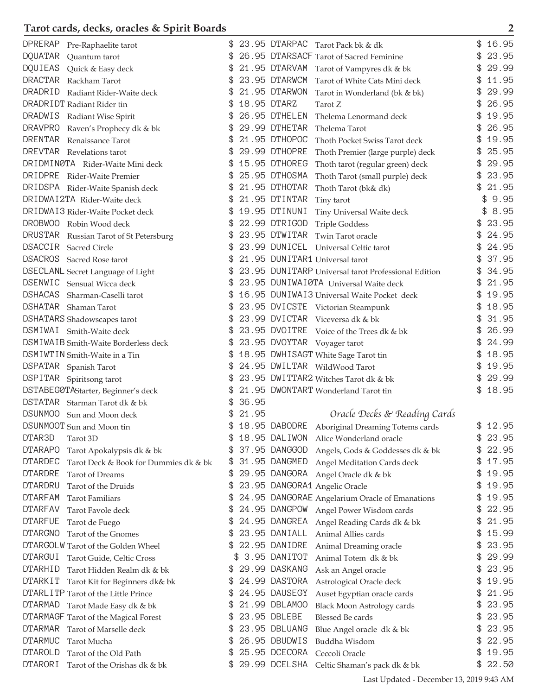| DPRERAP<br>Pre-Raphaelite tarot                         |             |               | 23.95 DTARPAC Tarot Pack bk & dk                    | 16.95       |
|---------------------------------------------------------|-------------|---------------|-----------------------------------------------------|-------------|
| <b>DQUATAR</b><br>Quantum tarot                         |             |               | 26.95 DTARSACF Tarot of Sacred Feminine             | \$<br>23.95 |
| DQUIEAS<br>Quick & Easy deck                            |             | 21.95 DTARVAM | Tarot of Vampyres dk & bk                           | \$<br>29.99 |
| <b>DRACTAR</b><br>Rackham Tarot                         |             | 23.95 DTARWCM | Tarot of White Cats Mini deck                       | 11.95       |
| DRADRID<br>Radiant Rider-Waite deck                     |             | 21.95 DTARWON | Tarot in Wonderland (bk & bk)                       | \$<br>29.99 |
| DRADRIDT Radiant Rider tin                              |             | 18.95 DTARZ   | Tarot Z                                             | 26.95       |
| DRADWIS<br>Radiant Wise Spirit                          |             | 26.95 DTHELEN | Thelema Lenormand deck                              | 19.95       |
| <b>DRAVPRO</b><br>Raven's Prophecy dk & bk              |             | 29.99 DTHETAR | Thelema Tarot                                       | 26.95       |
| <b>DRENTAR</b><br>Renaissance Tarot                     |             | 21.95 DTHOPOC | Thoth Pocket Swiss Tarot deck                       | \$<br>19.95 |
| DREVTAR Revelations tarot                               |             | 29.99 DTHOPRE | Thoth Premier (large purple) deck                   | \$<br>25.95 |
| DRIDMINOTA Rider-Waite Mini deck                        | \$          | 15.95 DTHOREG | Thoth tarot (regular green) deck                    | \$<br>29.95 |
| DRIDPRE Rider-Waite Premier                             |             | 25.95 DTHOSMA | Thoth Tarot (small purple) deck                     | 23.95       |
| DRIDSPA Rider-Waite Spanish deck                        |             | 21.95 DTHOTAR | Thoth Tarot (bk& dk)                                | \$<br>21.95 |
| DRIDWAI2TA Rider-Waite deck                             |             | 21.95 DTINTAR | Tiny tarot                                          | 9.95<br>\$  |
| DRIDWAI3 Rider-Waite Pocket deck                        |             | 19.95 DTINUNI | Tiny Universal Waite deck                           | 8.95<br>\$  |
| DROBWOO<br>Robin Wood deck                              |             | 22.99 DTRIGOD | <b>Triple Goddess</b>                               | 23.95       |
| DRUSTAR Russian Tarot of St Petersburg                  | \$          | 23.95 DTWITAR | Twin Tarot oracle                                   | \$<br>24.95 |
| <b>DSACCIR</b><br><b>Sacred Circle</b>                  |             |               | 23.99 DUNICEL Universal Celtic tarot                | 24.95       |
| <b>DSACROS</b><br>Sacred Rose tarot                     |             |               | 21.95 DUNITAR1 Universal tarot                      | 37.95       |
| DSECLANL Secret Language of Light                       |             |               | 23.95 DUNITARP Universal tarot Professional Edition | \$<br>34.95 |
| DSENWIC<br>Sensual Wicca deck                           |             |               | 23.95 DUNIWAI0TA Universal Waite deck               | \$<br>21.95 |
| <b>DSHACAS</b><br>Sharman-Caselli tarot                 |             |               | 16.95 DUNIWAI3 Universal Waite Pocket deck          | 19.95       |
| DSHATAR<br>Shaman Tarot                                 |             |               | 23.95 DVICSTE Victorian Steampunk                   | 18.95       |
| DSHATARS Shadowscapes tarot                             |             |               | 23.99 DVICTAR Viceversa dk & bk                     | \$<br>31.95 |
| DSMIWAI Smith-Waite deck                                |             |               | 23.95 DVOITRE Voice of the Trees dk & bk            | \$<br>26.99 |
| DSMIWAIB Smith-Waite Borderless deck                    | \$          |               | 23.95 DVOYTAR Voyager tarot                         | \$<br>24.99 |
| DSMIWTIN Smith-Waite in a Tin                           |             |               | 18.95 DWHISAGT White Sage Tarot tin                 | 18.95       |
| DSPATAR Spanish Tarot                                   |             |               | 24.95 DWILTAR WildWood Tarot                        | \$<br>19.95 |
| DSPITAR Spiritsong tarot                                |             |               | 23.95 DWITTAR2 Witches Tarot dk & bk                | 29.99       |
| DSTABEG0TAStarter, Beginner's deck                      |             |               | 21.95 DWONTART Wonderland Tarot tin                 | \$<br>18.95 |
| DSTATAR Starman Tarot dk & bk                           | 36.95       |               |                                                     |             |
| DSUNMOO Sun and Moon deck                               | \$<br>21.95 |               |                                                     |             |
|                                                         |             |               | Oracle Decks & Reading Cards                        | \$<br>12.95 |
| DSUNMOOT Sun and Moon tin                               |             |               | 18.95 DABODRE Aboriginal Dreaming Totems cards      |             |
| DTAR3D<br>Tarot 3D                                      |             | 18.95 DALIWON | Alice Wonderland oracle                             | 23.95       |
| <b>DTARAPO</b><br>Tarot Apokalypsis dk & bk             |             | 37.95 DANGGOD | Angels, Gods & Goddesses dk & bk                    | \$<br>22.95 |
| <b>DTARDEC</b><br>Tarot Deck & Book for Dummies dk & bk | \$          | 31.95 DANGMED | Angel Meditation Cards deck                         | \$<br>17.95 |
| <b>DTARDRE</b><br>Tarot of Dreams                       | \$          | 29.95 DANGORA | Angel Oracle dk & bk                                | \$<br>19.95 |
| <b>DTARDRU</b><br>Tarot of the Druids                   | \$          |               | 23.95 DANGORA1 Angelic Oracle                       | 19.95       |
| <b>DTARFAM</b><br><b>Tarot Familiars</b>                |             |               | 24.95 DANGORAE Angelarium Oracle of Emanations      | \$<br>19.95 |
| <b>DTARFAV</b><br>Tarot Favole deck                     |             | 24.95 DANGPOW | Angel Power Wisdom cards                            | \$<br>22.95 |
| <b>DTARFUE</b><br>Tarot de Fuego                        |             | 24.95 DANGREA | Angel Reading Cards dk & bk                         | \$<br>21.95 |
| <b>DTARGNO</b><br>Tarot of the Gnomes                   |             | 23.95 DANIALL | Animal Allies cards                                 | 15.99       |
| DTARGOLW Tarot of the Golden Wheel                      |             | 22.95 DANIDRE | Animal Dreaming oracle                              | \$<br>23.95 |
| <b>DTARGUI</b><br>Tarot Guide, Celtic Cross             | \$          | 3.95 DANITOT  | Animal Totem dk & bk                                | \$<br>29.99 |
| <b>DTARHID</b><br>Tarot Hidden Realm dk & bk            | \$          | 29.99 DASKANG | Ask an Angel oracle                                 | \$<br>23.95 |
| <b>DTARKIT</b><br>Tarot Kit for Beginners dk& bk        |             | 24.99 DASTORA | Astrological Oracle deck                            | \$<br>19.95 |
| DTARL ITP Tarot of the Little Prince                    |             | 24.95 DAUSEGY | Auset Egyptian oracle cards                         | \$<br>21.95 |
| <b>DTARMAD</b><br>Tarot Made Easy dk & bk               |             | 21.99 DBLAM00 | <b>Black Moon Astrology cards</b>                   | \$<br>23.95 |
| DTARMAGF Tarot of the Magical Forest                    |             | 23.95 DBLEBE  | <b>Blessed Be cards</b>                             | \$<br>23.95 |
| <b>DTARMAR</b><br>Tarot of Marselle deck                |             | 23.95 DBLUANG | Blue Angel oracle dk & bk                           | \$<br>23.95 |
| <b>DTARMUC</b><br>Tarot Mucha                           | \$          | 26.95 DBUDWIS | Buddha Wisdom                                       | \$<br>22.95 |
| <b>DTAROLD</b><br>Tarot of the Old Path                 | \$          | 25.95 DCECORA | Ceccoli Oracle                                      | \$<br>19.95 |
| <b>DTARORI</b><br>Tarot of the Orishas dk & bk          |             | 29.99 DCELSHA | Celtic Shaman's pack dk & bk                        | \$<br>22.50 |

Last Updated - December 13, 2019 9:43 AM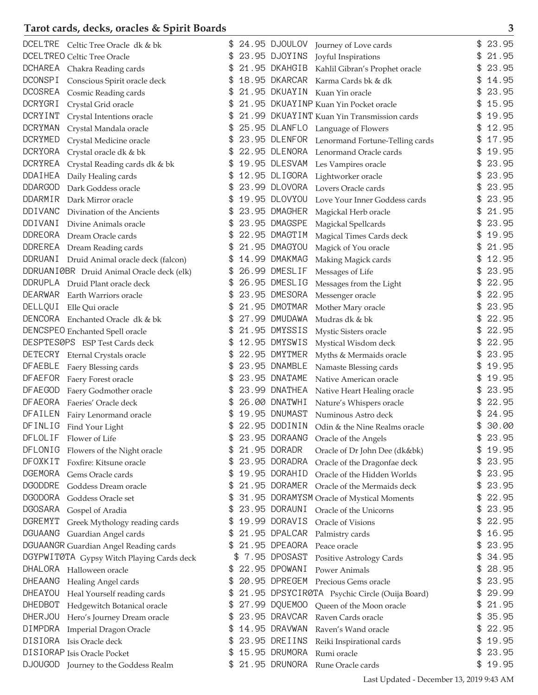| DCELTRE Celtic Tree Oracle dk & bk              |    |               | 24.95 DJOULOV Journey of Love cards           | 23.95       |
|-------------------------------------------------|----|---------------|-----------------------------------------------|-------------|
|                                                 |    |               |                                               |             |
| DCELTREO Celtic Tree Oracle                     | \$ |               | 23.95 DJOYINS Joyful Inspirations             | \$<br>21.95 |
| DCHAREA Chakra Reading cards                    |    | 21.95 DKAHGIB | Kahlil Gibran's Prophet oracle                | 23.95       |
| <b>DCONSPI</b><br>Conscious Spirit oracle deck  | \$ | 18.95 DKARCAR | Karma Cards bk & dk                           | \$<br>14.95 |
| <b>DCOSREA</b><br>Cosmic Reading cards          |    | 21.95 DKUAYIN | Kuan Yin oracle                               | 23.95       |
| DCRYGRI<br>Crystal Grid oracle                  |    |               | 21.95 DKUAYINP Kuan Yin Pocket oracle         | 15.95       |
| DCRYINT<br>Crystal Intentions oracle            |    |               | 21.99 DKUAYINT Kuan Yin Transmission cards    | 19.95       |
| <b>DCRYMAN</b><br>Crystal Mandala oracle        |    |               | 25.95 DLANFLO Language of Flowers             | 12.95       |
| DCRYMED<br>Crystal Medicine oracle              |    |               | 23.95 DLENFOR Lenormand Fortune-Telling cards | \$<br>17.95 |
| DCRYORA Crystal oracle dk & bk                  |    | 22.95 DLENORA | Lenormand Oracle cards                        | 19.95       |
| <b>DCRYREA</b><br>Crystal Reading cards dk & bk | \$ | 19.95 DLESVAM | Les Vampires oracle                           | \$<br>23.95 |
| DDAIHEA<br>Daily Healing cards                  |    | 12.95 DLIGORA | Lightworker oracle                            | 23.95       |
| <b>DDARGOD</b><br>Dark Goddess oracle           |    | 23.99 DLOVORA | Lovers Oracle cards                           | 23.95       |
| DDARMIR<br>Dark Mirror oracle                   |    | 19.95 DLOVYOU | Love Your Inner Goddess cards                 | 23.95       |
| <b>DDIVANC</b><br>Divination of the Ancients    |    | 23.95 DMAGHER | Magickal Herb oracle                          | \$<br>21.95 |
| DDIVANI<br>Divine Animals oracle                |    | 23.95 DMAGSPE | Magickal Spellcards                           | 23.95       |
| DDREORA Dream Oracle cards                      | \$ | 22.95 DMAGTIM | Magical Times Cards deck                      | \$<br>19.95 |
| DDREREA Dream Reading cards                     |    | 21.95 DMAGYOU | Magick of You oracle                          | 21.95       |
| DDRUANI Druid Animal oracle deck (falcon)       | \$ | 14.99 DMAKMAG | Making Magick cards                           | \$<br>12.95 |
| DDRUANIØBR Druid Animal Oracle deck (elk)       |    | 26.99 DMESLIF |                                               | 23.95       |
|                                                 |    | 26.95 DMESLIG | Messages of Life                              | 22.95       |
| DDRUPLA Druid Plant oracle deck                 |    |               | Messages from the Light                       |             |
| DEARWAR Earth Warriors oracle                   |    | 23.95 DMESORA | Messenger oracle                              | 22.95       |
| DELLQUI<br>Elle Qui oracle                      |    | 21.95 DMOTMAR | Mother Mary oracle                            | 23.95       |
| DENCORA Enchanted Oracle dk & bk                |    | 27.99 DMUDAWA | Mudras dk & bk                                | \$<br>22.95 |
| DENCSPEO Enchanted Spell oracle                 | \$ | 21.95 DMYSSIS | Mystic Sisters oracle                         | \$<br>22.95 |
| DESPTESØPS ESP Test Cards deck                  | \$ | 12.95 DMYSWIS | Mystical Wisdom deck                          | \$<br>22.95 |
| DETECRY Eternal Crystals oracle                 |    | 22.95 DMYTMER | Myths & Mermaids oracle                       | 23.95       |
| DFAEBLE Faery Blessing cards                    |    | 23.95 DNAMBLE | Namaste Blessing cards                        | 19.95       |
| DFAEFOR Faery Forest oracle                     |    | 23.95 DNATAME | Native American oracle                        | 19.95       |
| <b>DFAEGOD</b><br>Faery Godmother oracle        |    | 23.99 DNATHEA | Native Heart Healing oracle                   | 23.95       |
| <b>DFAEORA</b><br>Faeries' Oracle deck          |    | 26.00 DNATWHI | Nature's Whispers oracle                      | 22.95       |
| DFAILEN<br>Fairy Lenormand oracle               | \$ | 19.95 DNUMAST | Numinous Astro deck                           | \$<br>24.95 |
| DFINLIG<br>Find Your Light                      |    | 22.95 DODININ | Odin & the Nine Realms oracle                 | 30.00       |
| <b>DFLOLIF</b><br>Flower of Life                |    | 23.95 DORAANG | Oracle of the Angels                          | 23.95       |
| DFLONIG<br>Flowers of the Night oracle          |    | 21.95 DORADR  | Oracle of Dr John Dee (dk&bk)                 | 19.95       |
| DFOXKIT<br>Foxfire: Kitsune oracle              | \$ | 23.95 DORADRA | Oracle of the Dragonfae deck                  | \$<br>23.95 |
| <b>DGEMORA</b><br>Gems Oracle cards             |    | 19.95 DORAHID | Oracle of the Hidden Worlds                   | \$<br>23.95 |
| DGODDRE<br>Goddess Dream oracle                 | \$ | 21.95 DORAMER | Oracle of the Mermaids deck                   | \$<br>23.95 |
| <b>DGODORA</b><br>Goddess Oracle set            |    |               | 31.95 DORAMYSM Oracle of Mystical Moments     | \$<br>22.95 |
| <b>DGOSARA</b><br>Gospel of Aradia              |    | 23.95 DORAUNI | Oracle of the Unicorns                        | \$<br>23.95 |
| <b>DGREMYT</b><br>Greek Mythology reading cards |    | 19.99 DORAVIS | Oracle of Visions                             | \$<br>22.95 |
| <b>DGUAANG</b><br>Guardian Angel cards          |    | 21.95 DPALCAR | Palmistry cards                               | 16.95       |
| DGUAANGR Guardian Angel Reading cards           |    | 21.95 DPEAORA | Peace oracle                                  | \$<br>23.95 |
| DGYPWIT0TA Gypsy Witch Playing Cards deck       | \$ | 7.95 DPOSAST  |                                               | \$<br>34.95 |
| DHALORA                                         | \$ | 22.95 DPOWANI | Positive Astrology Cards                      | \$<br>28.95 |
| Halloween oracle                                |    |               | <b>Power Animals</b>                          |             |
| <b>DHEAANG</b><br>Healing Angel cards           |    | 20.95 DPREGEM | Precious Gems oracle                          | 23.95       |
| DHEAYOU<br>Heal Yourself reading cards          | \$ |               | 21.95 DPSYCIR0TA Psychic Circle (Ouija Board) | 29.99       |
| <b>DHEDBOT</b><br>Hedgewitch Botanical oracle   |    | 27.99 DQUEMOO | Queen of the Moon oracle                      | \$<br>21.95 |
| <b>DHERJOU</b><br>Hero's Journey Dream oracle   |    | 23.95 DRAVCAR | Raven Cards oracle                            | \$<br>35.95 |
| DIMPDRA<br>Imperial Dragon Oracle               |    | 14.95 DRAVWAN | Raven's Wand oracle                           | 22.95       |
| DISIORA<br>Isis Oracle deck                     | \$ | 23.95 DREIINS | Reiki Inspirational cards                     | \$<br>19.95 |
| DISIORAP Isis Oracle Pocket                     |    | 15.95 DRUMORA | Rumi oracle                                   | \$<br>23.95 |
| <b>DJOUGOD</b><br>Journey to the Goddess Realm  |    | 21.95 DRUNORA | Rune Oracle cards                             | \$<br>19.95 |

Last Updated - December 13, 2019 9:43 AM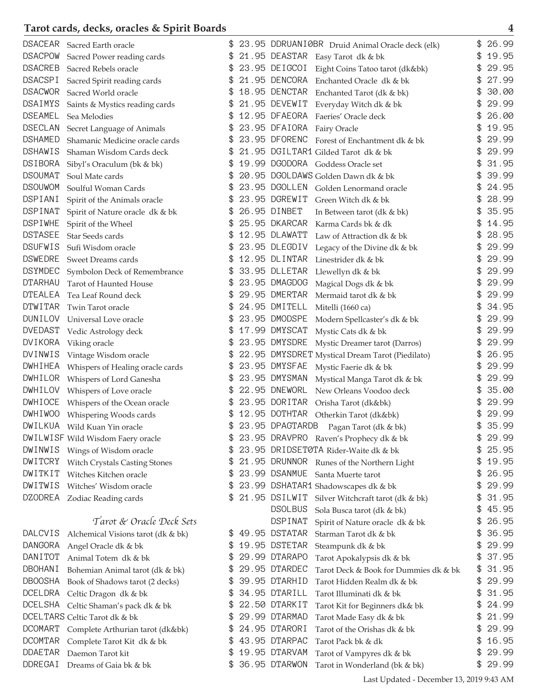| <b>DSACEAR</b> | Sacred Earth oracle                  |    | 23.95 DDRUANIØBR Druid Animal Oracle deck (elk)        |    | 26.99 |
|----------------|--------------------------------------|----|--------------------------------------------------------|----|-------|
| <b>DSACPOW</b> | Sacred Power reading cards           | \$ | 21.95 DEASTAR Easy Tarot dk & bk                       | \$ | 19.95 |
| <b>DSACREB</b> | Sacred Rebels oracle                 | \$ | 23.95 DEIGCOI Eight Coins Tatoo tarot (dk&bk)          | \$ | 29.95 |
| <b>DSACSPI</b> | Sacred Spirit reading cards          | \$ | 21.95 DENCORA<br>Enchanted Oracle dk & bk              | \$ | 27.99 |
| <b>DSACWOR</b> | Sacred World oracle                  | \$ | 18.95 DENCTAR<br>Enchanted Tarot (dk & bk)             | \$ | 30.00 |
| DSAIMYS        | Saints & Mystics reading cards       | \$ | 21.95 DEVEWIT Everyday Witch dk & bk                   | \$ | 29.99 |
| <b>DSEAMEL</b> | Sea Melodies                         | \$ | 12.95 DFAEORA Faeries' Oracle deck                     | \$ | 26.00 |
| <b>DSECLAN</b> | Secret Language of Animals           |    | 23.95 DFAIORA Fairy Oracle                             |    | 19.95 |
| <b>DSHAMED</b> | Shamanic Medicine oracle cards       | \$ | 23.95 DFORENC<br>Forest of Enchantment dk & bk         |    | 29.99 |
| <b>DSHAWIS</b> | Shaman Wisdom Cards deck             | \$ | 21.95 DGILTAR1 Gilded Tarot dk & bk                    | \$ | 29.99 |
| <b>DSIBORA</b> | Sibyl's Oraculum (bk & bk)           | \$ | 19.99 DGODORA Goddess Oracle set                       | \$ | 31.95 |
| <b>DSOUMAT</b> | Soul Mate cards                      | \$ | 20.95 DGOLDAWS Golden Dawn dk & bk                     |    | 39.99 |
| <b>DSOUWOM</b> | Soulful Woman Cards                  | \$ | 23.95 DGOLLEN<br>Golden Lenormand oracle               |    | 24.95 |
| DSPIANI        | Spirit of the Animals oracle         | \$ | 23.95 DGREWIT<br>Green Witch dk & bk                   | \$ | 28.99 |
| DSPINAT        | Spirit of Nature oracle dk & bk      |    | 26.95 DINBET<br>In Between tarot (dk & bk)             |    | 35.95 |
| <b>DSPIWHE</b> | Spirit of the Wheel                  |    | 25.95 DKARCAR<br>Karma Cards bk & dk                   |    | 14.95 |
| <b>DSTASEE</b> | Star Seeds cards                     |    | 12.95 DLAWATT<br>Law of Attraction dk & bk             |    | 28.95 |
| <b>DSUFWIS</b> | Sufi Wisdom oracle                   | \$ | 23.95 DLEGDIV<br>Legacy of the Divine dk & bk          | \$ | 29.99 |
| <b>DSWEDRE</b> | Sweet Dreams cards                   | \$ | 12.95 DLINTAR<br>Linestrider dk & bk                   | \$ | 29.99 |
| <b>DSYMDEC</b> | Symbolon Deck of Remembrance         | \$ | 33.95 DLLETAR<br>Llewellyn dk & bk                     | \$ | 29.99 |
| <b>DTARHAU</b> | Tarot of Haunted House               | \$ | 23.95 DMAGDOG<br>Magical Dogs dk & bk                  |    | 29.99 |
| <b>DTEALEA</b> | Tea Leaf Round deck                  | \$ | 29.95 DMERTAR<br>Mermaid tarot dk & bk                 | \$ | 29.99 |
| <b>DTWITAR</b> | Twin Tarot oracle                    |    | 24.95 DMITELL<br>Mitelli (1660 ca)                     |    | 34.95 |
| <b>DUNILOV</b> | Universal Love oracle                | \$ | 23.95 DMODSPE<br>Modern Spellcaster's dk & bk          |    | 29.99 |
| DVEDAST        | Vedic Astrology deck                 | \$ | 17.99 DMYSCAT<br>Mystic Cats dk & bk                   | \$ | 29.99 |
| DVIKORA        | Viking oracle                        | \$ | 23.95 DMYSDRE<br>Mystic Dreamer tarot (Darros)         | \$ | 29.99 |
| DVINWIS        | Vintage Wisdom oracle                | \$ | 22.95 DMYSDRET Mystical Dream Tarot (Piedilato)        | \$ | 26.95 |
| DWHIHEA        | Whispers of Healing oracle cards     | \$ | 23.95 DMYSFAE<br>Mystic Faerie dk & bk                 |    | 29.99 |
| DWHILOR        | Whispers of Lord Ganesha             | \$ | 23.95 DMYSMAN<br>Mystical Manga Tarot dk & bk          | \$ | 29.99 |
| DWHILOV        | Whispers of Love oracle              |    | 22.95 DNEWORL<br>New Orleans Voodoo deck               |    | 35.00 |
| DWHIOCE        | Whispers of the Ocean oracle         | S  | 23.95 DORITAR<br>Orisha Tarot (dk&bk)                  |    | 29.99 |
| <b>DWHIWOO</b> | Whispering Woods cards               |    | 12.95 DOTHTAR<br>Otherkin Tarot (dk&bk)                |    | 29.99 |
| DWILKUA        | Wild Kuan Yin oracle                 | \$ | 23.95 DPAGTARDB<br>Pagan Tarot (dk & bk)               | \$ | 35.99 |
|                | DWILWISF Wild Wisdom Faery oracle    | \$ | 23.95 DRAVPRO Raven's Prophecy dk & bk                 | \$ | 29.99 |
| DWINWIS        | Wings of Wisdom oracle               | S  | 23.95 DRIDSET0TA Rider-Waite dk & bk                   | \$ | 25.95 |
| <b>DWITCRY</b> | <b>Witch Crystals Casting Stones</b> | \$ | 21.95 DRUNNOR Runes of the Northern Light              | \$ | 19.95 |
| DWITKIT        | Witches Kitchen oracle               | \$ | 23.99 DSANMUE<br>Santa Muerte tarot                    | \$ | 26.95 |
| DWITWIS        | Witches' Wisdom oracle               | \$ | 23.99 DSHATAR1 Shadowscapes dk & bk                    | \$ | 29.99 |
| <b>DZODREA</b> | Zodiac Reading cards                 | \$ | 21.95 DSILWIT<br>Silver Witchcraft tarot (dk & bk)     | \$ | 31.95 |
|                |                                      |    | <b>DSOLBUS</b><br>Sola Busca tarot (dk & bk)           | \$ | 45.95 |
|                | Tarot & Oracle Deck Sets             |    | DSPINAT<br>Spirit of Nature oracle dk & bk             | \$ | 26.95 |
| <b>DALCVIS</b> | Alchemical Visions tarot (dk & bk)   | S  | 49.95 DSTATAR<br>Starman Tarot dk & bk                 | \$ | 36.95 |
| <b>DANGORA</b> | Angel Oracle dk & bk                 | \$ | 19.95 DSTETAR<br>Steampunk dk & bk                     |    | 29.99 |
| DANITOT        | Animal Totem dk & bk                 | \$ | 29.99 DTARAPO<br>Tarot Apokalypsis dk & bk             | \$ | 37.95 |
| <b>DBOHANI</b> | Bohemian Animal tarot (dk & bk)      | \$ | 29.95 DTARDEC<br>Tarot Deck & Book for Dummies dk & bk | \$ | 31.95 |
| <b>DBOOSHA</b> | Book of Shadows tarot (2 decks)      | \$ | 39.95 DTARHID<br>Tarot Hidden Realm dk & bk            | \$ | 29.99 |
| <b>DCELDRA</b> | Celtic Dragon dk & bk                | \$ | 34.95 DTARILL<br>Tarot Illuminati dk & bk              | \$ | 31.95 |
| DCELSHA        | Celtic Shaman's pack dk & bk         | S  | 22.50 DTARKIT<br>Tarot Kit for Beginners dk& bk        | \$ | 24.99 |
|                | DCELTARS Celtic Tarot dk & bk        | S  | 29.99 DTARMAD<br>Tarot Made Easy dk & bk               | \$ | 21.99 |
| <b>DCOMART</b> | Complete Arthurian tarot (dk&bk)     | S  | 24.95 DTARORI<br>Tarot of the Orishas dk & bk          | £. | 29.99 |
| <b>DCOMTAR</b> | Complete Tarot Kit dk & bk           | \$ | 43.95 DTARPAC<br>Tarot Pack bk & dk                    | \$ | 16.95 |
| <b>DDAETAR</b> | Daemon Tarot kit                     | \$ | 19.95 DTARVAM<br>Tarot of Vampyres dk & bk             | \$ | 29.99 |
| DDREGAI        | Dreams of Gaia bk & bk               |    | 36.95 DTARWON<br>Tarot in Wonderland (bk & bk)         | \$ | 29.99 |

Last Updated - December 13, 2019 9:43 AM